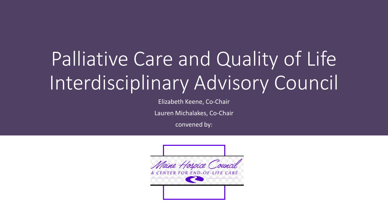## Palliative Care and Quality of Life Interdisciplinary Advisory Council

Elizabeth Keene, Co-Chair

Lauren Michalakes, Co-Chair

convened by:

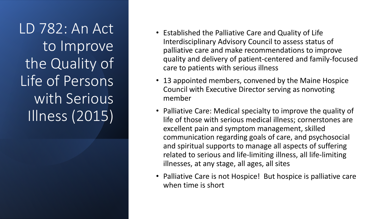LD 782: An Act to Improve the Quality of Life of Persons with Serious Illness (2015)

- Established the Palliative Care and Quality of Life Interdisciplinary Advisory Council to assess status of palliative care and make recommendations to improve quality and delivery of patient-centered and family-focused care to patients with serious illness
- 13 appointed members, convened by the Maine Hospice Council with Executive Director serving as nonvoting member
- Palliative Care: Medical specialty to improve the quality of life of those with serious medical illness; cornerstones are excellent pain and symptom management, skilled communication regarding goals of care, and psychosocial and spiritual supports to manage all aspects of suffering related to serious and life-limiting illness, all life-limiting illnesses, at any stage, all ages, all sites
- Palliative Care is not Hospice! But hospice is palliative care when time is short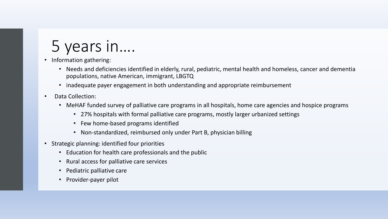## 5 years in….

• Information gathering:

- Needs and deficiencies identified in elderly, rural, pediatric, mental health and homeless, cancer and dementia populations, native American, immigrant, LBGTQ
- inadequate payer engagement in both understanding and appropriate reimbursement
- Data Collection:
	- MeHAF funded survey of palliative care programs in all hospitals, home care agencies and hospice programs
		- 27% hospitals with formal palliative care programs, mostly larger urbanized settings
		- Few home-based programs identified
		- Non-standardized, reimbursed only under Part B, physician billing
- Strategic planning: identified four priorities
	- Education for health care professionals and the public
	- Rural access for palliative care services
	- Pediatric palliative care
	- Provider-payer pilot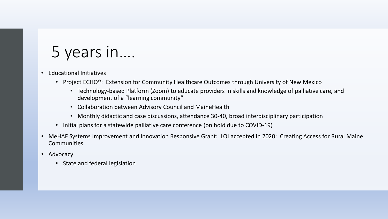## 5 years in….

- Educational Initiatives
	- Project ECHO<sup>®</sup>: Extension for Community Healthcare Outcomes through University of New Mexico
		- Technology-based Platform (Zoom) to educate providers in skills and knowledge of palliative care, and development of a "learning community"
		- Collaboration between Advisory Council and MaineHealth
		- Monthly didactic and case discussions, attendance 30-40, broad interdisciplinary participation
	- Initial plans for a statewide palliative care conference (on hold due to COVID-19)
- MeHAF Systems Improvement and Innovation Responsive Grant: LOI accepted in 2020: Creating Access for Rural Maine **Communities**
- Advocacy
	- State and federal legislation